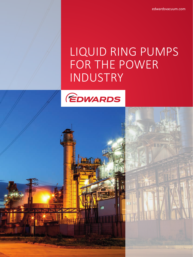edwardsvacuum.com

# LIQUID RING PUMPS FOR THE POWER INDUSTRY

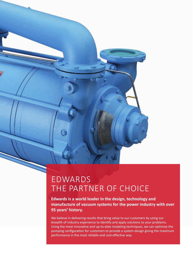## EDWARDS THE PARTNER OF CHOICE

**Edwards is a world leader in the design, technology and manufacture of vacuum systems for the power industry with over 95 years' history.** 

We believe in delivering results that bring value to our customers by using our breadth of industry experience to identify and apply solutions to your problems. Using the most innovative and up-to-date modeling techniques, we can optimise the pumping configuration for customers to provide a system design giving the maximum performance in the most reliable and cost-effective way.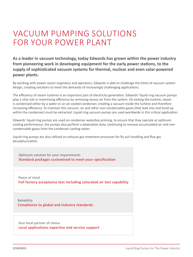# VACUUM PUMPING SOLUTIONS FOR YOUR POWER PLANT

**As a leader in vacuum technology, today Edwards has grown within the power industry from pioneering work in developing equipment for the early power stations, to the supply of sophisticated vacuum systems for thermal, nuclear and even solar-powered power plants.**

By working with power sector engineers and operators, Edwards is able to challenge the limits of vacuum system design, creating solutions to meet the demands of increasingly challenging applications.

The efficiency of steam turbines is an important part of electricity generation. Edwards' liquid ring vacuum pumps play a vital role in maximising efficiency by removing excess air from the system. On exiting the turbine, steam is condensed either by a water or an air-cooled condenser, creating a vacuum inside the turbine and therefore increasing efficiency. To maintain this vacuum, air and other non-condensable gases (that leak into and build up within the condenser) must be extracted. Liquid ring vacuum pumps are used worldwide in this critical application.

Edwards' liquid ring pumps are used on condenser waterbox priming, to ensure that they operate at optimum cooling performance; the pumps also perform a deaeration duty, continuing to remove accumulated air and noncondensable gases from the condenser cooling water.

Liquid ring pumps are also utilised on exhaust gas treatment processes for fly ash handling and flue gas desulphurisation.

Optimum solution for your requirements **Standard packages customised to meet your specification**

Peace of mind **Full factory acceptance test including saturated air test capability**

Reliability **Compliance to global and industry standards**

Your local partner of choice **Local applications expertise and service support**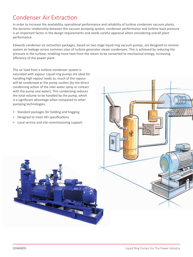### Condenser Air Extraction

In order to increase the availability, operational performance and reliability of turbine condenser vacuum plants, the dynamic relationship between the vacuum pumping system, condenser performance and turbine back pressure is an important factor in the design requirements and needs careful appraisal when considering overall plant performance.

Edwards condenser air extraction packages, based on two stage liquid ring vacuum pumps, are designed to remove system air leakage across common sizes of turbine generator steam condensers. This is achieved by reducing the pressure in the turbine, enabling more heat from the steam to be converted to mechanical energy, increasing efficiency of the power plant.

The air load from a turbine condenser system is saturated with vapour. Liquid ring pumps are ideal for handling high vapour loads as, much of the vapour will be condensed at the pump suction (by the direct condensing action of the inlet water spray or contact with the pump seal water). This condensing reduces the total volume to be handled by the pump, which is a significant advantage when compared to other pumping technologies.

- Standard packages for holding and hogging
- Designed to meet HEI specifications
- Local service and site commissioning support

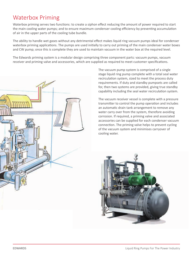### Waterbox Priming

Waterbox priming serves two functions: to create a siphon effect reducing the amount of power required to start the main cooling water pumps; and to ensure maximum condenser cooling efficiency by preventing accumulation of air in the upper parts of the cooling tube bundle.

The ability to handle wet gases without any detrimental effect makes liquid ring vacuum pumps ideal for condenser waterbox priming applications. The pumps are used initially to carry out priming of the main condenser water boxes and CW pump; once this is complete they are used to maintain vacuum in the water box at the required level.

The Edwards priming system is a modular design comprising three component parts: vacuum pumps, vacuum receiver and priming valve and accessories, which are supplied as required to meet customer specifications.



The vacuum pump system is comprised of a single stage liquid ring pump complete with a total seal water recirculation system, sized to meet the process duty requirements. If duty and standby pumpsets are called for, then two systems are provided, giving true standby capability including the seal water recirculation system.

The vacuum receiver vessel is complete with a pressure transmitter to control the pump operation and includes an automatic drain tank arrangement to remove any water carry over from the system, therefore avoiding corrosion. If required, a priming valve and associated accessories can be supplied for each condenser vacuum connection. The priming valve helps to prevent cycling of the vacuum system and minimises carryover of cooling water.

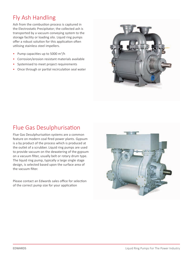### Fly Ash Handling

Ash from the combustion process is captured in the Electrostatic Precipitator; the collected ash is transported by a vacuum conveying system to the storage facility or loading silo. Liquid ring pumps offer a robust solution for this application often utilising stainless steel impellers.

- Pump capacities up to 5000 m<sup>3</sup>/h
- Corrosion/erosion resistant materials available
- Systemised to meet project requirements
- Once through or partial recirculation seal water



### Flue Gas Desulphurisation

Flue Gas Desulphurisation systems are a common feature on modern coal fired power plants. Gypsum is a by product of the process which is produced at the outlet of a scrubber. Liquid ring pumps are used to provide vacuum on the dewatering of the gypsum on a vacuum filter, usually belt or rotary drum type. The liquid ring pump, typically a large single stage design, is selected based upon the surface area of the vacuum filter.

Please contact an Edwards sales office for selection of the correct pump size for your application

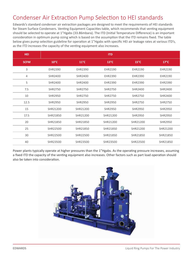### Condenser Air Extraction Pump Selection to HEI standards

Edwards's standard condenser air extraction packages are designed to meet the requirements of HEI standards for Steam Surface Condensers. Venting Equipment Capacities table, which recommends that venting equipment should be selected to operate at 1"Hgabs (33.86mbara). The ITD (Initial Temperature Difference) is an important consideration in optimum pump sizing which is based on the assumption that the ITD remains fixed. The table below gives pump selection guideline for operation at 1"Hgabs with specific HEI air leakage rates at various ITD's, as the ITD increases the capacity of the venting equipment also increases.

| <b>HEI</b>     |                |                | <b>ITD</b>     |                |                |
|----------------|----------------|----------------|----------------|----------------|----------------|
| <b>SCFM</b>    | $10^{\circ}$ C | $11^{\circ}$ C | $13^{\circ}$ C | $15^{\circ}$ C | $17^{\circ}$ C |
| 3              | EHR2390        | EHR2390        | EHR2190        | EHR2190        | EHR2190        |
| $\overline{4}$ | SHR2400        | <b>SHR2400</b> | EHR2390        | EHR2390        | EHR2190        |
| 5              | <b>SHR2400</b> | <b>SHR2400</b> | EHR2390        | EHR2390        | EHR2390        |
| 7.5            | <b>SHR2750</b> | <b>SHR2750</b> | <b>SHR2750</b> | <b>SHR2400</b> | <b>SHR2400</b> |
| 10             | <b>SHR2950</b> | <b>SHR2750</b> | <b>SHR2750</b> | <b>SHR2750</b> | <b>SHR2400</b> |
| 12.5           | <b>SHR2950</b> | <b>SHR2950</b> | SHR2950        | SHR2750        | <b>SHR2750</b> |
| 15             | SHR21200       | SHR21200       | SHR2950        | <b>SHR2950</b> | <b>SHR2950</b> |
| 17.5           | SHR21850       | SHR21200       | SHR21200       | <b>SHR2950</b> | <b>SHR2950</b> |
| 20             | SHR21850       | SHR21850       | SHR21200       | SHR21200       | <b>SHR2950</b> |
| 25             | SHR22500       | SHR21850       | SHR21850       | SHR21200       | SHR21200       |
| 30             | SHR22500       | SHR22500       | SHR21850       | SHR21850       | SHR21850       |
| 40             | SHR23500       | SHR23500       | SHR23500       | SHR22500       | SHR21850       |

Power plants typically operate at higher pressures than the 1"Hgabs. As the operating pressure increases, assuming a fixed ITD the capacity of the venting equipment also increases. Other factors such as part load operation should also be taken into consideration.

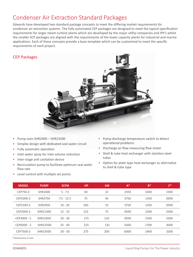### Condenser Air Extraction Standard Packages

Edwards have developed two standard package concepts to meet the differing market requirements for condenser air extraction systems. The fully automated CEP packages are designed to meet the typical specification requirements for larger steam turbine plants which are developed by the major utility companies and IPP's whilst the smaller SCP packages are aligned with the requirements of the lower capacity plants for industrial and marine applications. Each of these concepts provide a base template which can be customised to meet the specific requirements of each project.

#### CEP Packages



- Pump sizes SHR2400 SHR23500
- Simplex design with dedicated seal water circuit
- Fully automatic operation
- Inlet water spray for inlet volume reduction
- Inter-stage anti cavitation device
- Recirculation pump to facilitate optimum seal water flow rate
- Level control with multiple set points
- Pump discharge temperature switch to detect operational problems
- Discharge air flow measuring flow meter
- Shell & tube heat exchanger with stainless steel tubes
- Option for plate type heat exchanger as alternative to shell & tube type

| <b>MODEL</b> | <b>PUMP</b>    | <b>SCFM</b>  | <b>HP</b> | <b>kW</b> | $A^*$ | $B*$ | $C^*$ |
|--------------|----------------|--------------|-----------|-----------|-------|------|-------|
| CEP750-2     | SHR2400        | $5 - 7.5$    | 40        | 22        | 2350  | 1000 | 1500  |
| CEP1000-2    | SHR2750        | $7.5 - 12.5$ | 75        | 45        | 3750  | 1350 | 2000  |
| CEP1500-2    | <b>SHR2950</b> | $10 - 20$    | 100       | 55        | 3750  | 1350 | 2000  |
| CEP2000-2    | SHR21200       | $15 - 25$    | 125       | 75        | 4500  | 1500 | 2500  |
| CEP3000 - 2  | SHR21850       | $20 - 30$    | 175       | 110       | 4500  | 1500 | 2500  |
| CEP6000 - 2  | SHR22500       | $25 - 40$    | 225       | 132       | 5500  | 1700 | 3000  |
| CEP7500-2    | SHR23500       | $30 - 50$    | 275       | 200       | 6000  | 1900 | 3200  |

*\* Dimensions in mm*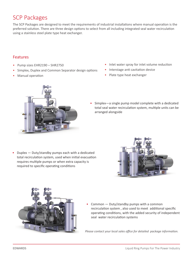### SCP Packages

The SCP Packages are designed to meet the requirements of industrial installations where manual operation is the preferred solution. There are three design options to select from all including integrated seal water recirculation using a stainless steel plate type heat exchanger.

#### Features

- Pump sizes EHR2190 SHR2750
- Simplex, Duplex and Common Separator design options
- Manual operation
- Inlet water spray for inlet volume reduction
- Interstage anti cavitation device
- Plate type heat exchanger



• Simplex—a single pump model complete with a dedicated total seal water recirculation system, multiple units can be arranged alongside

• Duplex — Duty/standby pumps each with a dedicated total recirculation system, used when initial evacuation requires multiple pumps or when extra capacity is required to specific operating conditions





• Common — Duty/standby pumps with a common recirculation system , also used to meet additional specific operating conditions, with the added security of independent seal water recirculation systems

*Please contact your local sales office for detailed package information.*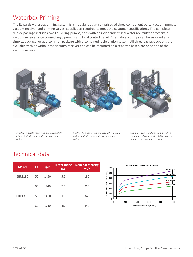### Waterbox Priming

The Edwards waterbox priming system is a modular design comprised of three component parts: vacuum pumps, vacuum receiver and priming valves, supplied as required to meet the customer specifications. The complete duplex package includes two liquid ring pumps, each with an independent seal water recirculation system, a vacuum receiver, interconnecting pipework and local control panel. Alternatively pumps can be supplied as a simplex package, or as a common package with a combined recirculation system. All three package options are available with or without the vacuum receiver and can be mounted on a separate baseplate or on top of the vacuum receiver.



*Simplex - a single liquid ring pump complete with a dedicated seal water recirculation system*

*Duplex - two liquid ring pumps each complete with a dedicated seal water recirculation system*

*Common - two liquid ring pumps with a common seal water recirculation system mounted on a vacuum receiver*

### Technical data

| <b>Model</b> | Hz. | rpm  | <b>Motor rating</b><br>kW | <b>Nominal capacity</b><br>$m^3/h$ |
|--------------|-----|------|---------------------------|------------------------------------|
| EHR1190      | 50  | 1450 | 5.5                       | 180                                |
|              | 60  | 1740 | 7.5                       | 260                                |
| EHR1390      | 50  | 1450 | 11                        | 340                                |
|              | 60  | 1740 | 15                        | 440                                |

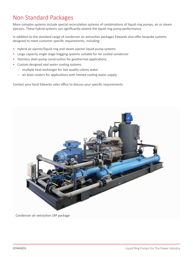### Non Standard Packages

More complex systems include special recirculation systems of combinations of liquid ring pumps, air or steam ejectors. These hybrid systems can significantly extend the liquid ring pump performance.

In addition to the standard range of condenser air extraction packages Edwards also offer bespoke systems designed to meet customer specific requirements, including:

- Hybrid air ejector/liquid ring and steam ejector liquid pump systems
- Large capacity single stage hogging systems suitable for Air cooled condenser
- Stainless steel pump construction for geothermal applications
- Custom designed seal water cooling systems
	- multiple heat exchanger for low quality colony water
	- air blast coolers for applications with limited cooling water supply

Contact your local Edwards sales office to discuss your specific requirements



Condenser air extraction LRP package